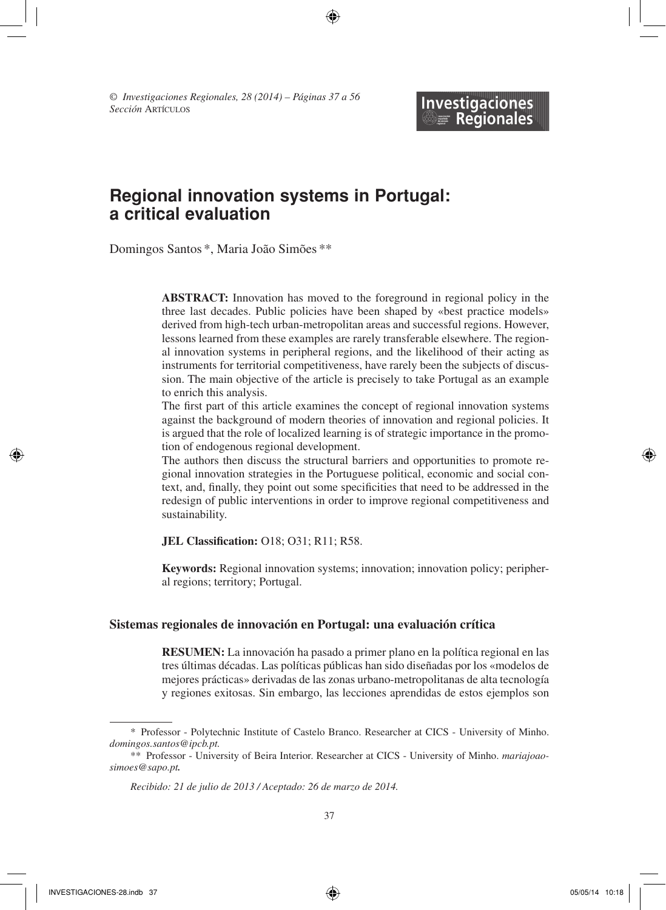*© Investigaciones Regionales, 28 (2014) – Páginas 37 a 56 Sección* Artículos

# Investigaciones<br>  **BE Regionales**

# **Regional innovation systems in Portugal: a critical evaluation**

⊕

Domingos Santos \*, Maria João Simões \*\*

**Abstract:** Innovation has moved to the foreground in regional policy in the three last decades. Public policies have been shaped by «best practice models» derived from high-tech urban-metropolitan areas and successful regions. However, lessons learned from these examples are rarely transferable elsewhere. The regional innovation systems in peripheral regions, and the likelihood of their acting as instruments for territorial competitiveness, have rarely been the subjects of discussion. The main objective of the article is precisely to take Portugal as an example to enrich this analysis.

The first part of this article examines the concept of regional innovation systems against the background of modern theories of innovation and regional policies. It is argued that the role of localized learning is of strategic importance in the promotion of endogenous regional development.

The authors then discuss the structural barriers and opportunities to promote regional innovation strategies in the Portuguese political, economic and social context, and, finally, they point out some specificities that need to be addressed in the redesign of public interventions in order to improve regional competitiveness and sustainability.

**JEL Classification:** O18; O31; R11; R58.

**Keywords:** Regional innovation systems; innovation; innovation policy; peripheral regions; territory; Portugal.

## **Sistemas regionales de innovación en Portugal: una evaluación crítica**

**Resumen:** La innovación ha pasado a primer plano en la política regional en las tres últimas décadas. Las políticas públicas han sido diseñadas por los «modelos de mejores prácticas» derivadas de las zonas urbano-metropolitanas de alta tecnología y regiones exitosas. Sin embargo, las lecciones aprendidas de estos ejemplos son

<sup>\*</sup> Professor - Polytechnic Institute of Castelo Branco. Researcher at CICS - University of Minho. *domingos.santos@ipcb.pt.*

<sup>\*\*</sup> Professor - University of Beira Interior. Researcher at CICS - University of Minho. *mariajoaosimoes@sapo.pt.*

*Recibido: 21 de julio de 2013 / Aceptado: 26 de marzo de 2014.*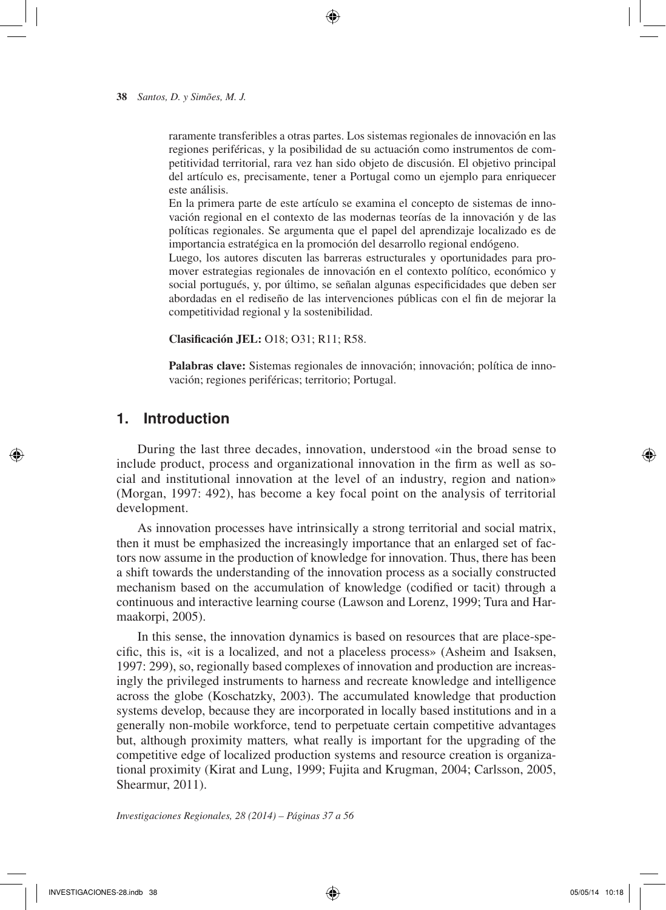raramente transferibles a otras partes. Los sistemas regionales de innovación en las regiones periféricas, y la posibilidad de su actuación como instrumentos de competitividad territorial, rara vez han sido objeto de discusión. El objetivo principal del artículo es, precisamente, tener a Portugal como un ejemplo para enriquecer este análisis.

 $\Leftrightarrow$ 

En la primera parte de este artículo se examina el concepto de sistemas de innovación regional en el contexto de las modernas teorías de la innovación y de las políticas regionales. Se argumenta que el papel del aprendizaje localizado es de importancia estratégica en la promoción del desarrollo regional endógeno.

Luego, los autores discuten las barreras estructurales y oportunidades para promover estrategias regionales de innovación en el contexto político, económico y social portugués, y, por último, se señalan algunas especificidades que deben ser abordadas en el rediseño de las intervenciones públicas con el fin de mejorar la competitividad regional y la sostenibilidad.

**Clasificación JEL:** O18; O31; R11; R58.

**Palabras clave:** Sistemas regionales de innovación; innovación; política de innovación; regiones periféricas; territorio; Portugal.

## **1. Introduction**

During the last three decades, innovation, understood «in the broad sense to include product, process and organizational innovation in the firm as well as social and institutional innovation at the level of an industry, region and nation» (Morgan, 1997: 492), has become a key focal point on the analysis of territorial development.

As innovation processes have intrinsically a strong territorial and social matrix, then it must be emphasized the increasingly importance that an enlarged set of factors now assume in the production of knowledge for innovation. Thus, there has been a shift towards the understanding of the innovation process as a socially constructed mechanism based on the accumulation of knowledge (codified or tacit) through a continuous and interactive learning course (Lawson and Lorenz, 1999; Tura and Harmaakorpi, 2005).

In this sense, the innovation dynamics is based on resources that are place-specific, this is, «it is a localized, and not a placeless process» (Asheim and Isaksen, 1997: 299), so, regionally based complexes of innovation and production are increasingly the privileged instruments to harness and recreate knowledge and intelligence across the globe (Koschatzky, 2003). The accumulated knowledge that production systems develop, because they are incorporated in locally based institutions and in a generally non-mobile workforce, tend to perpetuate certain competitive advantages but, although proximity matters*,* what really is important for the upgrading of the competitive edge of localized production systems and resource creation is organizational proximity (Kirat and Lung, 1999; Fujita and Krugman, 2004; Carlsson, 2005, Shearmur, 2011).

*Investigaciones Regionales, 28 (2014) – Páginas 37 a 56*

INVESTIGACIONES-28.indb 38 05/05/14 10:18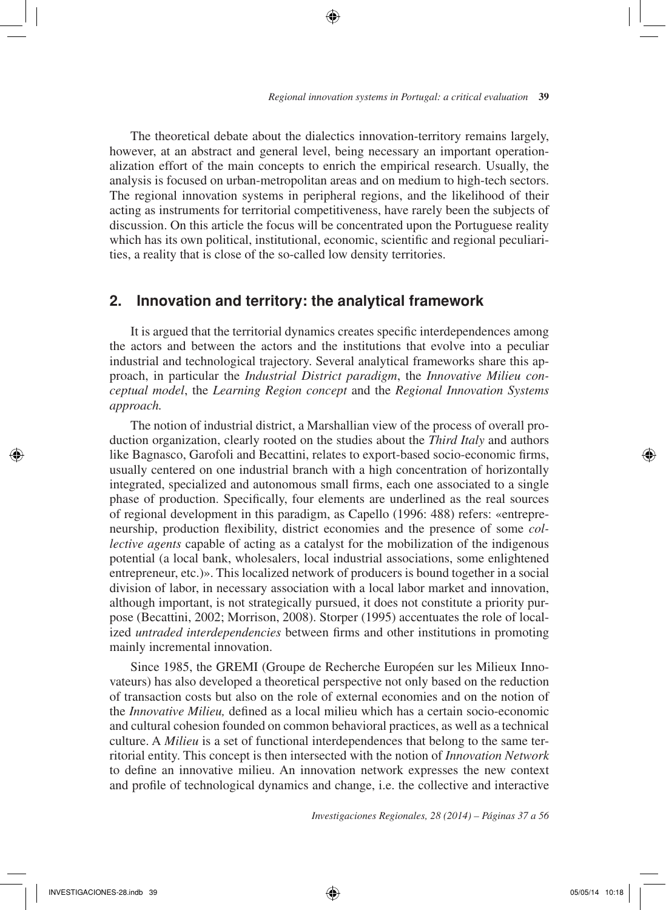The theoretical debate about the dialectics innovation-territory remains largely, however, at an abstract and general level, being necessary an important operationalization effort of the main concepts to enrich the empirical research. Usually, the analysis is focused on urban-metropolitan areas and on medium to high-tech sectors. The regional innovation systems in peripheral regions, and the likelihood of their acting as instruments for territorial competitiveness, have rarely been the subjects of discussion. On this article the focus will be concentrated upon the Portuguese reality which has its own political, institutional, economic, scientific and regional peculiarities, a reality that is close of the so-called low density territories.

⊕

## **2. Innovation and territory: the analytical framework**

It is argued that the territorial dynamics creates specific interdependences among the actors and between the actors and the institutions that evolve into a peculiar industrial and technological trajectory. Several analytical frameworks share this approach, in particular the *Industrial District paradigm*, the *Innovative Milieu conceptual model*, the *Learning Region concept* and the *Regional Innovation Systems approach.*

The notion of industrial district, a Marshallian view of the process of overall production organization, clearly rooted on the studies about the *Third Italy* and authors like Bagnasco, Garofoli and Becattini, relates to export-based socio-economic firms, usually centered on one industrial branch with a high concentration of horizontally integrated, specialized and autonomous small firms, each one associated to a single phase of production. Specifically, four elements are underlined as the real sources of regional development in this paradigm, as Capello (1996: 488) refers: «entrepreneurship, production flexibility, district economies and the presence of some *collective agents* capable of acting as a catalyst for the mobilization of the indigenous potential (a local bank, wholesalers, local industrial associations, some enlightened entrepreneur, etc.)». This localized network of producers is bound together in a social division of labor, in necessary association with a local labor market and innovation, although important, is not strategically pursued, it does not constitute a priority purpose (Becattini, 2002; Morrison, 2008). Storper (1995) accentuates the role of localized *untraded interdependencies* between firms and other institutions in promoting mainly incremental innovation.

Since 1985, the GREMI (Groupe de Recherche Européen sur les Milieux Innovateurs) has also developed a theoretical perspective not only based on the reduction of transaction costs but also on the role of external economies and on the notion of the *Innovative Milieu,* defined as a local milieu which has a certain socio-economic and cultural cohesion founded on common behavioral practices, as well as a technical culture. A *Milieu* is a set of functional interdependences that belong to the same territorial entity. This concept is then intersected with the notion of *Innovation Network*  to define an innovative milieu. An innovation network expresses the new context and profile of technological dynamics and change, i.e. the collective and interactive

*Investigaciones Regionales, 28 (2014) – Páginas 37 a 56*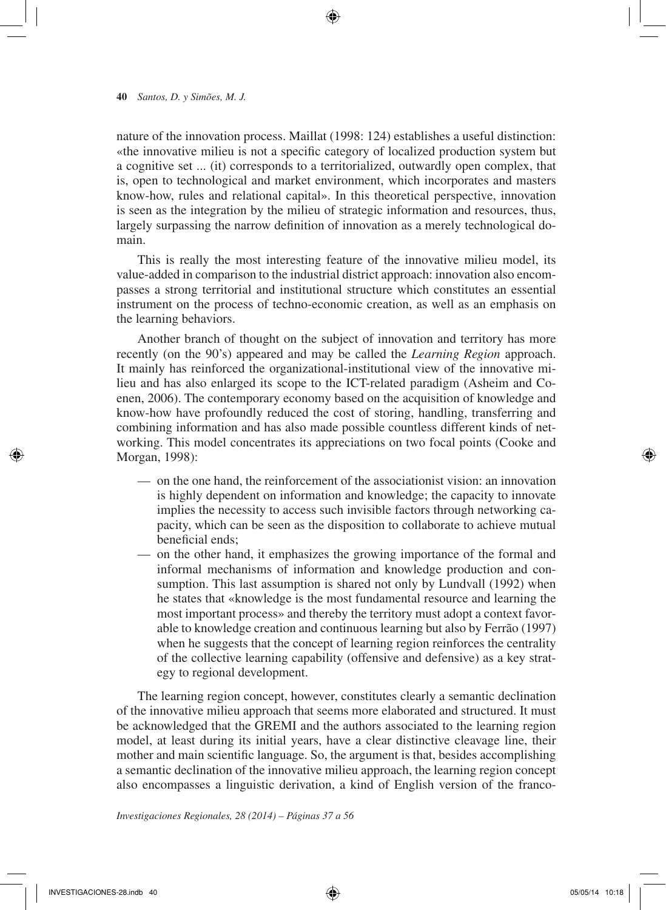nature of the innovation process. Maillat (1998: 124) establishes a useful distinction: «the innovative milieu is not a specific category of localized production system but a cognitive set ... (it) corresponds to a territorialized, outwardly open complex, that is, open to technological and market environment, which incorporates and masters know-how, rules and relational capital». In this theoretical perspective, innovation is seen as the integration by the milieu of strategic information and resources, thus, largely surpassing the narrow definition of innovation as a merely technological domain.

 $\textcolor{red}{\textcircled{\star}}$ 

This is really the most interesting feature of the innovative milieu model, its value-added in comparison to the industrial district approach: innovation also encompasses a strong territorial and institutional structure which constitutes an essential instrument on the process of techno-economic creation, as well as an emphasis on the learning behaviors.

Another branch of thought on the subject of innovation and territory has more recently (on the 90's) appeared and may be called the *Learning Region* approach. It mainly has reinforced the organizational-institutional view of the innovative milieu and has also enlarged its scope to the ICT-related paradigm (Asheim and Coenen, 2006). The contemporary economy based on the acquisition of knowledge and know-how have profoundly reduced the cost of storing, handling, transferring and combining information and has also made possible countless different kinds of networking. This model concentrates its appreciations on two focal points (Cooke and Morgan, 1998):

- on the one hand, the reinforcement of the associationist vision: an innovation is highly dependent on information and knowledge; the capacity to innovate implies the necessity to access such invisible factors through networking capacity, which can be seen as the disposition to collaborate to achieve mutual beneficial ends;
- on the other hand, it emphasizes the growing importance of the formal and informal mechanisms of information and knowledge production and consumption. This last assumption is shared not only by Lundvall (1992) when he states that «knowledge is the most fundamental resource and learning the most important process» and thereby the territory must adopt a context favorable to knowledge creation and continuous learning but also by Ferrão (1997) when he suggests that the concept of learning region reinforces the centrality of the collective learning capability (offensive and defensive) as a key strategy to regional development.

The learning region concept, however, constitutes clearly a semantic declination of the innovative milieu approach that seems more elaborated and structured. It must be acknowledged that the GREMI and the authors associated to the learning region model, at least during its initial years, have a clear distinctive cleavage line, their mother and main scientific language. So, the argument is that, besides accomplishing a semantic declination of the innovative milieu approach, the learning region concept also encompasses a linguistic derivation, a kind of English version of the franco-

*Investigaciones Regionales, 28 (2014) – Páginas 37 a 56*

 $INVESTIGACIONES-28.indb$  40 05/05/14 10:18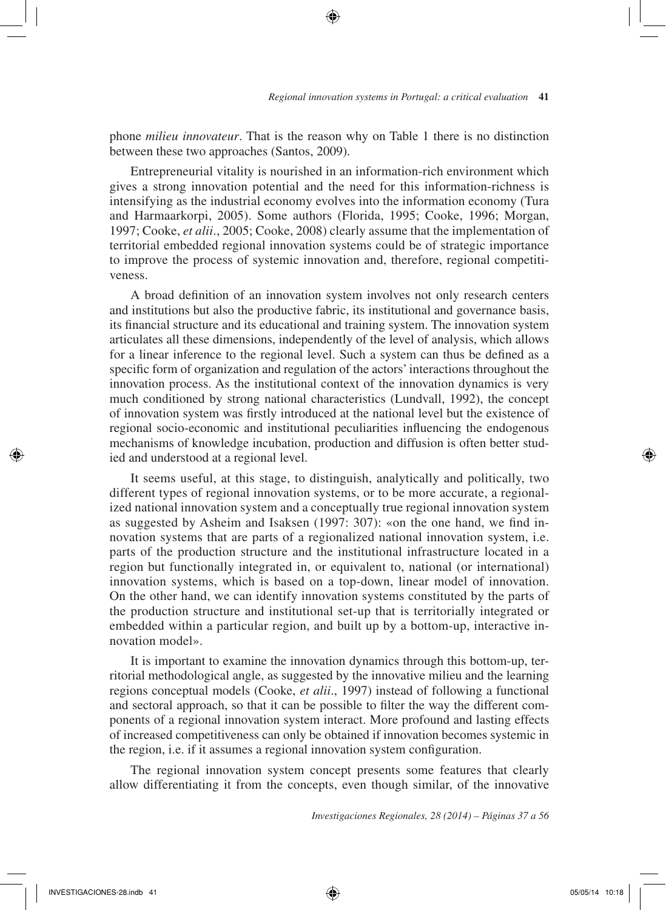phone *milieu innovateur*. That is the reason why on Table 1 there is no distinction between these two approaches (Santos, 2009).

⊕

Entrepreneurial vitality is nourished in an information-rich environment which gives a strong innovation potential and the need for this information-richness is intensifying as the industrial economy evolves into the information economy (Tura and Harmaarkorpi, 2005). Some authors (Florida, 1995; Cooke, 1996; Morgan, 1997; Cooke, *et alii*., 2005; Cooke, 2008) clearly assume that the implementation of territorial embedded regional innovation systems could be of strategic importance to improve the process of systemic innovation and, therefore, regional competitiveness.

A broad definition of an innovation system involves not only research centers and institutions but also the productive fabric, its institutional and governance basis, its financial structure and its educational and training system. The innovation system articulates all these dimensions, independently of the level of analysis, which allows for a linear inference to the regional level. Such a system can thus be defined as a specific form of organization and regulation of the actors' interactions throughout the innovation process. As the institutional context of the innovation dynamics is very much conditioned by strong national characteristics (Lundvall, 1992), the concept of innovation system was firstly introduced at the national level but the existence of regional socio-economic and institutional peculiarities influencing the endogenous mechanisms of knowledge incubation, production and diffusion is often better studied and understood at a regional level.

It seems useful, at this stage, to distinguish, analytically and politically, two different types of regional innovation systems, or to be more accurate, a regionalized national innovation system and a conceptually true regional innovation system as suggested by Asheim and Isaksen (1997: 307): «on the one hand, we find innovation systems that are parts of a regionalized national innovation system, i.e. parts of the production structure and the institutional infrastructure located in a region but functionally integrated in, or equivalent to, national (or international) innovation systems, which is based on a top-down, linear model of innovation. On the other hand, we can identify innovation systems constituted by the parts of the production structure and institutional set-up that is territorially integrated or embedded within a particular region, and built up by a bottom-up, interactive innovation model».

It is important to examine the innovation dynamics through this bottom-up, territorial methodological angle, as suggested by the innovative milieu and the learning regions conceptual models (Cooke, *et alii*., 1997) instead of following a functional and sectoral approach, so that it can be possible to filter the way the different components of a regional innovation system interact. More profound and lasting effects of increased competitiveness can only be obtained if innovation becomes systemic in the region, i.e. if it assumes a regional innovation system configuration.

The regional innovation system concept presents some features that clearly allow differentiating it from the concepts, even though similar, of the innovative

*Investigaciones Regionales, 28 (2014) – Páginas 37 a 56*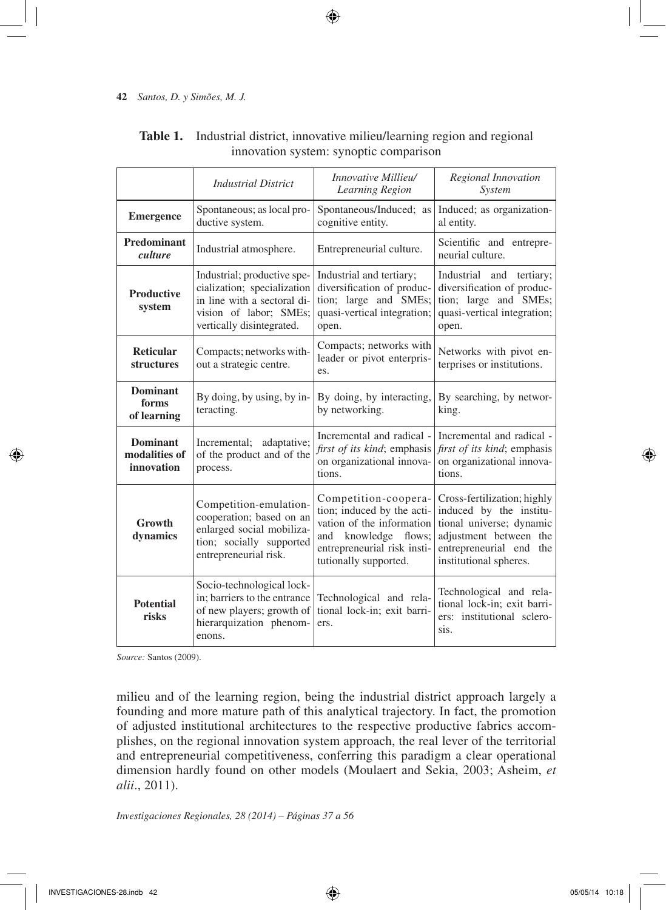|                                                  | <b>Industrial District</b>                                                                                                                       | Innovative Millieu/<br>Learning Region                                                                                                                             | Regional Innovation<br>System                                                                                                                                     |  |
|--------------------------------------------------|--------------------------------------------------------------------------------------------------------------------------------------------------|--------------------------------------------------------------------------------------------------------------------------------------------------------------------|-------------------------------------------------------------------------------------------------------------------------------------------------------------------|--|
| <b>Emergence</b>                                 | Spontaneous; as local pro-<br>ductive system.                                                                                                    | Spontaneous/Induced; as<br>cognitive entity.                                                                                                                       | Induced; as organization-<br>al entity.                                                                                                                           |  |
| Predominant<br>Industrial atmosphere.<br>culture |                                                                                                                                                  | Entrepreneurial culture.                                                                                                                                           | Scientific and entrepre-<br>neurial culture.                                                                                                                      |  |
| <b>Productive</b><br>system                      | Industrial; productive spe-<br>cialization; specialization<br>in line with a sectoral di-<br>vision of labor; SMEs;<br>vertically disintegrated. | Industrial and tertiary;<br>diversification of produc-<br>tion; large and SMEs;<br>quasi-vertical integration;<br>open.                                            | Industrial and tertiary;<br>diversification of produc-<br>tion; large and SMEs;<br>quasi-vertical integration;<br>open.                                           |  |
| <b>Reticular</b><br><b>structures</b>            | Compacts; networks with-<br>out a strategic centre.                                                                                              | Compacts; networks with<br>leader or pivot enterpris-<br>es.                                                                                                       | Networks with pivot en-<br>terprises or institutions.                                                                                                             |  |
| <b>Dominant</b><br>forms<br>of learning          | By doing, by using, by in-<br>teracting.                                                                                                         | By doing, by interacting,<br>by networking.                                                                                                                        | By searching, by networ-<br>king.                                                                                                                                 |  |
| <b>Dominant</b><br>modalities of<br>innovation   | Incremental; adaptative;<br>of the product and of the<br>process.                                                                                | Incremental and radical -<br><i>first of its kind</i> ; emphasis<br>on organizational innova-<br>tions.                                                            | Incremental and radical -<br><i>first of its kind</i> ; emphasis<br>on organizational innova-<br>tions.                                                           |  |
| Growth<br>dynamics                               | Competition-emulation-<br>cooperation; based on an<br>enlarged social mobiliza-<br>tion; socially supported<br>entrepreneurial risk.             | Competition-coopera-<br>tion; induced by the acti-<br>vation of the information<br>knowledge flows;<br>and<br>entrepreneurial risk insti-<br>tutionally supported. | Cross-fertilization; highly<br>induced by the institu-<br>tional universe; dynamic<br>adjustment between the<br>entrepreneurial end the<br>institutional spheres. |  |
| <b>Potential</b><br>risks                        | Socio-technological lock-<br>in; barriers to the entrance<br>of new players; growth of<br>hierarquization phenom-<br>enons.                      | Technological and rela-<br>tional lock-in; exit barri-<br>ers.                                                                                                     | Technological and rela-<br>tional lock-in; exit barri-<br>ers: institutional sclero-<br>sis.                                                                      |  |

## **Table 1.** Industrial district, innovative milieu/learning region and regional innovation system: synoptic comparison

 $\bigoplus$ 

*Source:* Santos (2009).

milieu and of the learning region, being the industrial district approach largely a founding and more mature path of this analytical trajectory. In fact, the promotion of adjusted institutional architectures to the respective productive fabrics accomplishes, on the regional innovation system approach, the real lever of the territorial and entrepreneurial competitiveness, conferring this paradigm a clear operational dimension hardly found on other models (Moulaert and Sekia, 2003; Asheim, *et alii*., 2011).

*Investigaciones Regionales, 28 (2014) – Páginas 37 a 56*

↔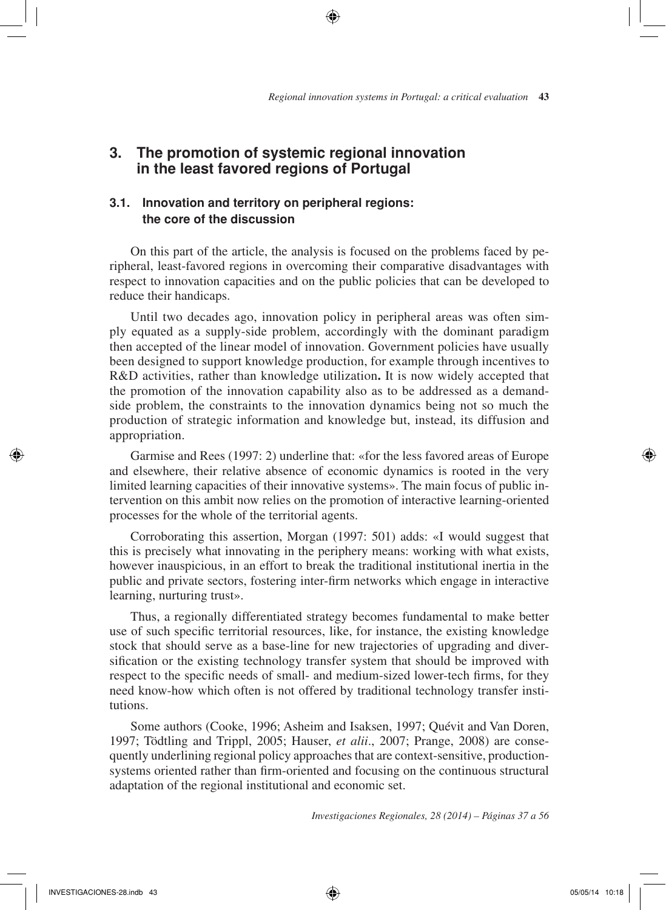## **3. The promotion of systemic regional innovation in the least favored regions of Portugal**

## **3.1. Innovation and territory on peripheral regions: the core of the discussion**

On this part of the article, the analysis is focused on the problems faced by peripheral, least-favored regions in overcoming their comparative disadvantages with respect to innovation capacities and on the public policies that can be developed to reduce their handicaps.

⊕

Until two decades ago, innovation policy in peripheral areas was often simply equated as a supply-side problem, accordingly with the dominant paradigm then accepted of the linear model of innovation. Government policies have usually been designed to support knowledge production, for example through incentives to R&D activities, rather than knowledge utilization**.** It is now widely accepted that the promotion of the innovation capability also as to be addressed as a demandside problem, the constraints to the innovation dynamics being not so much the production of strategic information and knowledge but, instead, its diffusion and appropriation.

Garmise and Rees (1997: 2) underline that: «for the less favored areas of Europe and elsewhere, their relative absence of economic dynamics is rooted in the very limited learning capacities of their innovative systems». The main focus of public intervention on this ambit now relies on the promotion of interactive learning-oriented processes for the whole of the territorial agents.

Corroborating this assertion, Morgan (1997: 501) adds: «I would suggest that this is precisely what innovating in the periphery means: working with what exists, however inauspicious, in an effort to break the traditional institutional inertia in the public and private sectors, fostering inter-firm networks which engage in interactive learning, nurturing trust».

Thus, a regionally differentiated strategy becomes fundamental to make better use of such specific territorial resources, like, for instance, the existing knowledge stock that should serve as a base-line for new trajectories of upgrading and diversification or the existing technology transfer system that should be improved with respect to the specific needs of small- and medium-sized lower-tech firms, for they need know-how which often is not offered by traditional technology transfer institutions.

Some authors (Cooke, 1996; Asheim and Isaksen, 1997; Quévit and Van Doren, 1997; Tödtling and Trippl, 2005; Hauser, *et alii*., 2007; Prange, 2008) are consequently underlining regional policy approaches that are context-sensitive, productionsystems oriented rather than firm-oriented and focusing on the continuous structural adaptation of the regional institutional and economic set.

*Investigaciones Regionales, 28 (2014) – Páginas 37 a 56*

⊕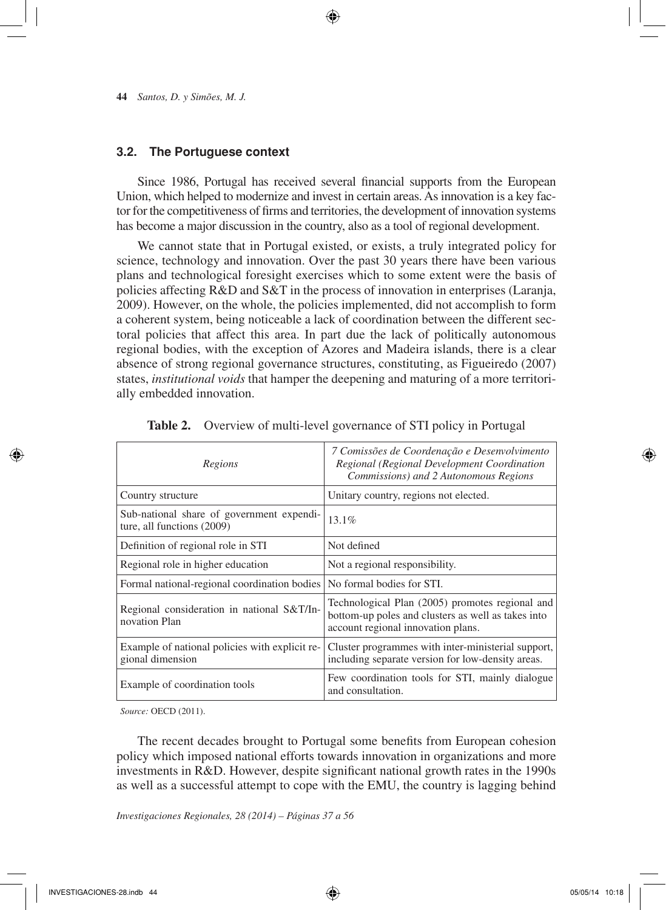## **3.2. The Portuguese context**

Since 1986, Portugal has received several financial supports from the European Union, which helped to modernize and invest in certain areas. As innovation is a key factor for the competitiveness of firms and territories, the development of innovation systems has become a major discussion in the country, also as a tool of regional development.

⊕

We cannot state that in Portugal existed, or exists, a truly integrated policy for science, technology and innovation. Over the past 30 years there have been various plans and technological foresight exercises which to some extent were the basis of policies affecting R&D and S&T in the process of innovation in enterprises (Laranja, 2009). However, on the whole, the policies implemented, did not accomplish to form a coherent system, being noticeable a lack of coordination between the different sectoral policies that affect this area. In part due the lack of politically autonomous regional bodies, with the exception of Azores and Madeira islands, there is a clear absence of strong regional governance structures, constituting, as Figueiredo (2007) states, *institutional voids* that hamper the deepening and maturing of a more territorially embedded innovation.

| Regions                                                                 | 7 Comissões de Coordenação e Desenvolvimento<br>Regional (Regional Development Coordination<br>Commissions) and 2 Autonomous Regions        |  |  |
|-------------------------------------------------------------------------|---------------------------------------------------------------------------------------------------------------------------------------------|--|--|
| Country structure                                                       | Unitary country, regions not elected.                                                                                                       |  |  |
| Sub-national share of government expendi-<br>ture, all functions (2009) | $13.1\%$                                                                                                                                    |  |  |
| Definition of regional role in STI                                      | Not defined                                                                                                                                 |  |  |
| Regional role in higher education                                       | Not a regional responsibility.                                                                                                              |  |  |
| Formal national-regional coordination bodies                            | No formal bodies for STI.                                                                                                                   |  |  |
| Regional consideration in national S&T/In-<br>novation Plan             | Technological Plan (2005) promotes regional and<br>bottom-up poles and clusters as well as takes into<br>account regional innovation plans. |  |  |
| Example of national policies with explicit re-<br>gional dimension      | Cluster programmes with inter-ministerial support,<br>including separate version for low-density areas.                                     |  |  |
| Example of coordination tools                                           | Few coordination tools for STI, mainly dialogue<br>and consultation.                                                                        |  |  |

| Table 2. Overview of multi-level governance of STI policy in Portugal |  |  |  |
|-----------------------------------------------------------------------|--|--|--|
|-----------------------------------------------------------------------|--|--|--|

*Source:* OECD (2011).

The recent decades brought to Portugal some benefits from European cohesion policy which imposed national efforts towards innovation in organizations and more investments in R&D. However, despite significant national growth rates in the 1990s as well as a successful attempt to cope with the EMU, the country is lagging behind

*Investigaciones Regionales, 28 (2014) – Páginas 37 a 56*

⊕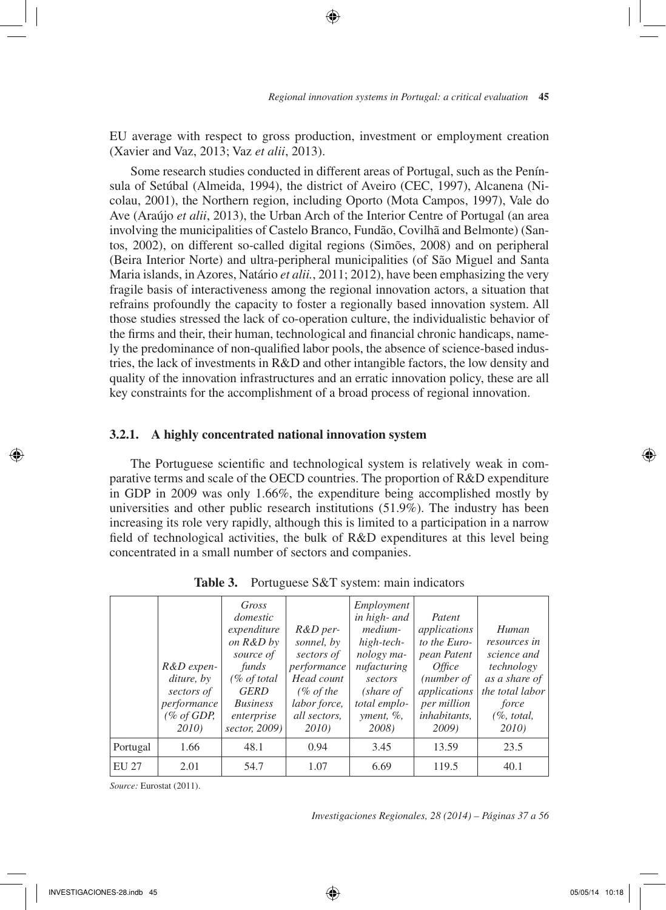EU average with respect to gross production, investment or employment creation (Xavier and Vaz, 2013; Vaz *et alii*, 2013).

 $\textcolor{red}{\textcircled{\star}}$ 

Some research studies conducted in different areas of Portugal, such as the Península of Setúbal (Almeida, 1994), the district of Aveiro (CEC, 1997), Alcanena (Nicolau, 2001), the Northern region, including Oporto (Mota Campos, 1997), Vale do Ave (Araújo *et alii*, 2013), the Urban Arch of the Interior Centre of Portugal (an area involving the municipalities of Castelo Branco, Fundão, Covilhã and Belmonte) (Santos, 2002), on different so-called digital regions (Simões, 2008) and on peripheral (Beira Interior Norte) and ultra-peripheral municipalities (of São Miguel and Santa Maria islands, in Azores, Natário *et alii.*, 2011; 2012), have been emphasizing the very fragile basis of interactiveness among the regional innovation actors, a situation that refrains profoundly the capacity to foster a regionally based innovation system. All those studies stressed the lack of co-operation culture, the individualistic behavior of the firms and their, their human, technological and financial chronic handicaps, namely the predominance of non-qualified labor pools, the absence of science-based industries, the lack of investments in R&D and other intangible factors, the low density and quality of the innovation infrastructures and an erratic innovation policy, these are all key constraints for the accomplishment of a broad process of regional innovation.

## **3.2.1. A highly concentrated national innovation system**

The Portuguese scientific and technological system is relatively weak in comparative terms and scale of the OECD countries. The proportion of R&D expenditure in GDP in 2009 was only 1.66%, the expenditure being accomplished mostly by universities and other public research institutions (51.9%). The industry has been increasing its role very rapidly, although this is limited to a participation in a narrow field of technological activities, the bulk of R&D expenditures at this level being concentrated in a small number of sectors and companies.

|          | $R&D$ expen-<br>diture, by<br>sectors of<br>performance<br>(% of GDP,<br>2010) | Gross<br>domestic<br>expenditure<br>on R&D by<br>source of<br>funds<br>$(\%$ of total<br><b>GERD</b><br><i>Business</i><br>enterprise<br>sector, 2009) | $R&D$ per-<br>sonnel, by<br>sectors of<br><i>performance</i><br>Head count<br>(% of the)<br>labor force,<br>all sectors,<br>2010) | Employment<br>in high- and<br>medium-<br>high-tech-<br>nology ma-<br>nufacturing<br>sectors<br>(share of<br>total emplo-<br>yment, %<br>2008) | Patent<br>applications<br>to the Euro-<br>pean Patent<br><i>Office</i><br>(number of<br>applications<br>per million<br><i>inhabitants.</i><br><b>2009</b> ) | Human<br>resources in<br>science and<br>technology<br>as a share of<br>the total labor<br>force<br>(% , total, )<br>2010) |
|----------|--------------------------------------------------------------------------------|--------------------------------------------------------------------------------------------------------------------------------------------------------|-----------------------------------------------------------------------------------------------------------------------------------|-----------------------------------------------------------------------------------------------------------------------------------------------|-------------------------------------------------------------------------------------------------------------------------------------------------------------|---------------------------------------------------------------------------------------------------------------------------|
| Portugal | 1.66                                                                           | 48.1                                                                                                                                                   | 0.94                                                                                                                              | 3.45                                                                                                                                          | 13.59                                                                                                                                                       | 23.5                                                                                                                      |
| EU 27    | 2.01                                                                           | 54.7                                                                                                                                                   | 1.07                                                                                                                              | 6.69                                                                                                                                          | 119.5                                                                                                                                                       | 40.1                                                                                                                      |

**Table 3.** Portuguese S&T system: main indicators

*Source:* Eurostat (2011).

*Investigaciones Regionales, 28 (2014) – Páginas 37 a 56*

⊕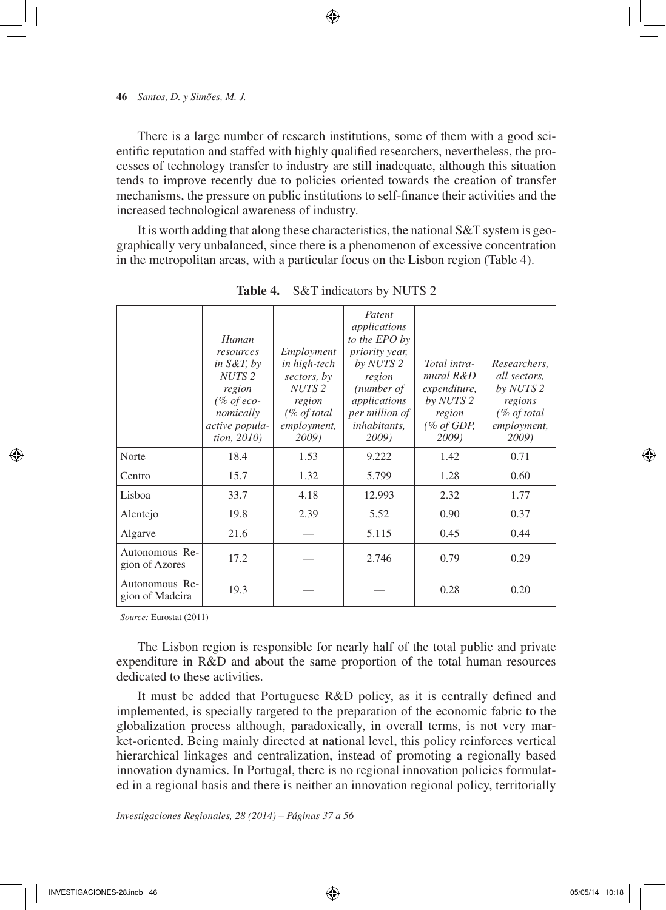There is a large number of research institutions, some of them with a good scientific reputation and staffed with highly qualified researchers, nevertheless, the processes of technology transfer to industry are still inadequate, although this situation tends to improve recently due to policies oriented towards the creation of transfer mechanisms, the pressure on public institutions to self-finance their activities and the increased technological awareness of industry.

 $\textcolor{red}{\textcircled{\star}}$ 

It is worth adding that along these characteristics, the national S&T system is geographically very unbalanced, since there is a phenomenon of excessive concentration in the metropolitan areas, with a particular focus on the Lisbon region (Table 4).

|                                   | Human<br>resources<br>in $S\&T$ , by<br>NUTS <sub>2</sub><br>region<br>$(\% of eco-$<br>nomically<br>active popula-<br>tion, 2010) | Employment<br>in high-tech<br>sectors, by<br>NUTS <sub>2</sub><br>region<br>(% of total<br>employment,<br>2009) | Patent<br>applications<br>to the EPO by<br>priority year,<br>by NUTS 2<br>region<br>(number of<br>applications<br>per million of<br>inhabitants,<br>2009) | Total intra-<br>mural R&D<br>expenditure,<br>by NUTS 2<br>region<br>$(\%$ of GDP,<br>2009) | Researchers,<br>all sectors,<br>by NUTS 2<br>regions<br>$(\%$ of total<br>employment,<br>2009) |
|-----------------------------------|------------------------------------------------------------------------------------------------------------------------------------|-----------------------------------------------------------------------------------------------------------------|-----------------------------------------------------------------------------------------------------------------------------------------------------------|--------------------------------------------------------------------------------------------|------------------------------------------------------------------------------------------------|
| Norte                             | 18.4                                                                                                                               | 1.53                                                                                                            | 9.222                                                                                                                                                     | 1.42                                                                                       | 0.71                                                                                           |
| Centro                            | 15.7                                                                                                                               | 1.32                                                                                                            | 5.799                                                                                                                                                     | 1.28                                                                                       | 0.60                                                                                           |
| Lisboa                            | 33.7                                                                                                                               | 4.18                                                                                                            | 12.993                                                                                                                                                    | 2.32                                                                                       | 1.77                                                                                           |
| Alentejo                          | 19.8                                                                                                                               | 2.39                                                                                                            | 5.52                                                                                                                                                      | 0.90                                                                                       | 0.37                                                                                           |
| Algarve                           | 21.6                                                                                                                               |                                                                                                                 | 5.115                                                                                                                                                     | 0.45                                                                                       | 0.44                                                                                           |
| Autonomous Re-<br>gion of Azores  | 17.2                                                                                                                               |                                                                                                                 | 2.746                                                                                                                                                     | 0.79                                                                                       | 0.29                                                                                           |
| Autonomous Re-<br>gion of Madeira | 19.3                                                                                                                               |                                                                                                                 |                                                                                                                                                           | 0.28                                                                                       | 0.20                                                                                           |
|                                   |                                                                                                                                    |                                                                                                                 |                                                                                                                                                           |                                                                                            |                                                                                                |

**Table 4.** S&T indicators by NUTS 2

*Source:* Eurostat (2011)

The Lisbon region is responsible for nearly half of the total public and private expenditure in R&D and about the same proportion of the total human resources dedicated to these activities.

It must be added that Portuguese R&D policy, as it is centrally defined and implemented, is specially targeted to the preparation of the economic fabric to the globalization process although, paradoxically, in overall terms, is not very market-oriented. Being mainly directed at national level, this policy reinforces vertical hierarchical linkages and centralization, instead of promoting a regionally based innovation dynamics. In Portugal, there is no regional innovation policies formulated in a regional basis and there is neither an innovation regional policy, territorially

*Investigaciones Regionales, 28 (2014) – Páginas 37 a 56*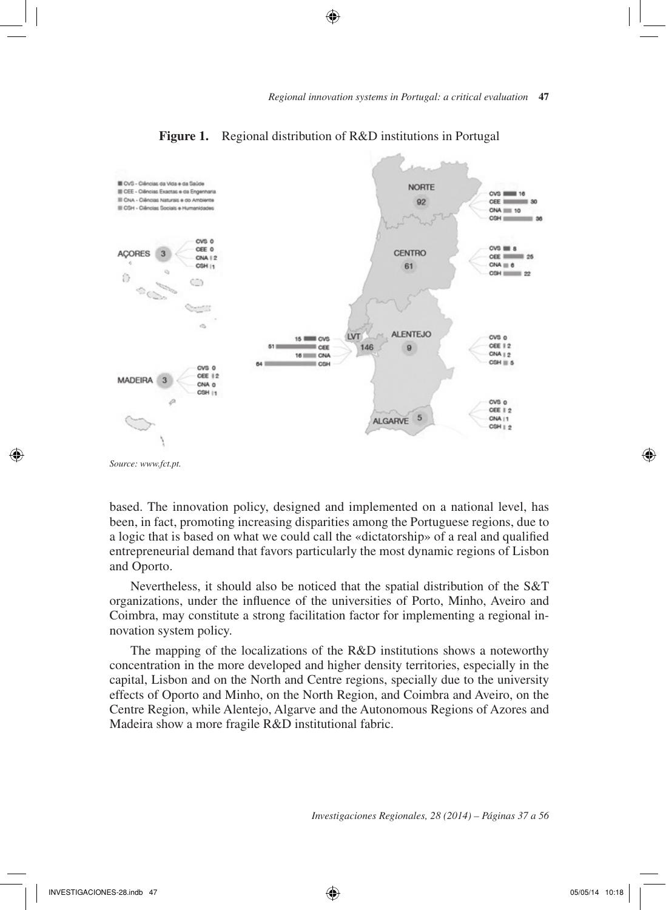

#### **Figure 1.** Regional distribution of R&D institutions in Portugal

⊕

*Source: www.fct.pt.*

↔

based. The innovation policy, designed and implemented on a national level, has been, in fact, promoting increasing disparities among the Portuguese regions, due to a logic that is based on what we could call the «dictatorship» of a real and qualified entrepreneurial demand that favors particularly the most dynamic regions of Lisbon and Oporto.

Nevertheless, it should also be noticed that the spatial distribution of the S&T organizations, under the influence of the universities of Porto, Minho, Aveiro and Coimbra, may constitute a strong facilitation factor for implementing a regional innovation system policy.

The mapping of the localizations of the R&D institutions shows a noteworthy concentration in the more developed and higher density territories, especially in the capital, Lisbon and on the North and Centre regions, specially due to the university effects of Oporto and Minho, on the North Region, and Coimbra and Aveiro, on the Centre Region, while Alentejo, Algarve and the Autonomous Regions of Azores and Madeira show a more fragile R&D institutional fabric.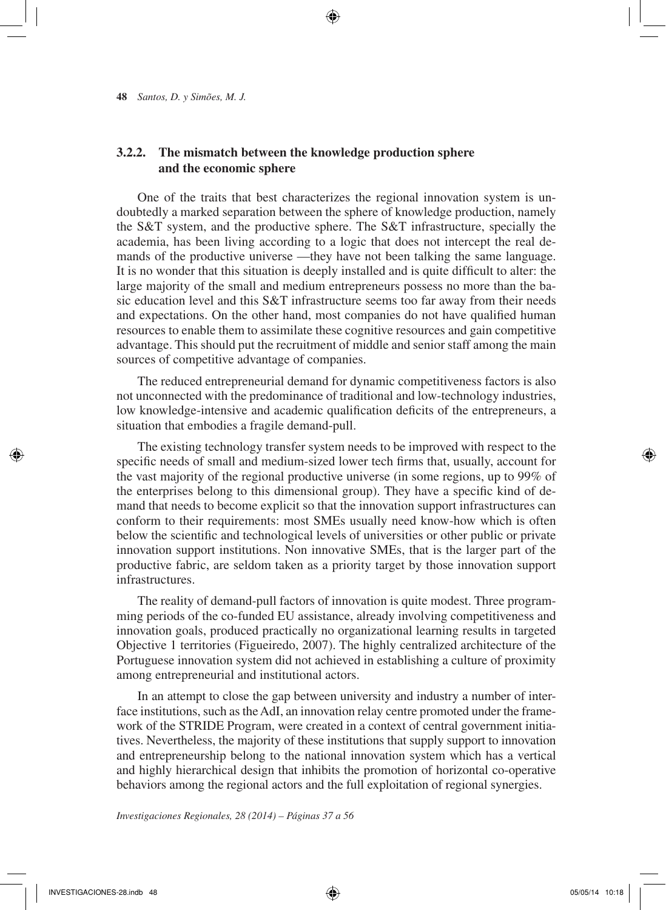## **3.2.2. The mismatch between the knowledge production sphere and the economic sphere**

One of the traits that best characterizes the regional innovation system is undoubtedly a marked separation between the sphere of knowledge production, namely the S&T system, and the productive sphere. The S&T infrastructure, specially the academia, has been living according to a logic that does not intercept the real demands of the productive universe —they have not been talking the same language. It is no wonder that this situation is deeply installed and is quite difficult to alter: the large majority of the small and medium entrepreneurs possess no more than the basic education level and this S&T infrastructure seems too far away from their needs and expectations. On the other hand, most companies do not have qualified human resources to enable them to assimilate these cognitive resources and gain competitive advantage. This should put the recruitment of middle and senior staff among the main sources of competitive advantage of companies.

 $\textcolor{red}{\textcircled{\star}}$ 

The reduced entrepreneurial demand for dynamic competitiveness factors is also not unconnected with the predominance of traditional and low-technology industries, low knowledge-intensive and academic qualification deficits of the entrepreneurs, a situation that embodies a fragile demand-pull.

The existing technology transfer system needs to be improved with respect to the specific needs of small and medium-sized lower tech firms that, usually, account for the vast majority of the regional productive universe (in some regions, up to 99% of the enterprises belong to this dimensional group). They have a specific kind of demand that needs to become explicit so that the innovation support infrastructures can conform to their requirements: most SMEs usually need know-how which is often below the scientific and technological levels of universities or other public or private innovation support institutions. Non innovative SMEs, that is the larger part of the productive fabric, are seldom taken as a priority target by those innovation support infrastructures.

The reality of demand-pull factors of innovation is quite modest. Three programming periods of the co-funded EU assistance, already involving competitiveness and innovation goals, produced practically no organizational learning results in targeted Objective 1 territories (Figueiredo, 2007). The highly centralized architecture of the Portuguese innovation system did not achieved in establishing a culture of proximity among entrepreneurial and institutional actors.

In an attempt to close the gap between university and industry a number of interface institutions, such as the AdI, an innovation relay centre promoted under the framework of the STRIDE Program, were created in a context of central government initiatives. Nevertheless, the majority of these institutions that supply support to innovation and entrepreneurship belong to the national innovation system which has a vertical and highly hierarchical design that inhibits the promotion of horizontal co-operative behaviors among the regional actors and the full exploitation of regional synergies.

*Investigaciones Regionales, 28 (2014) – Páginas 37 a 56*

INVESTIGACIONES-28.indb 48 05/05/14 10:18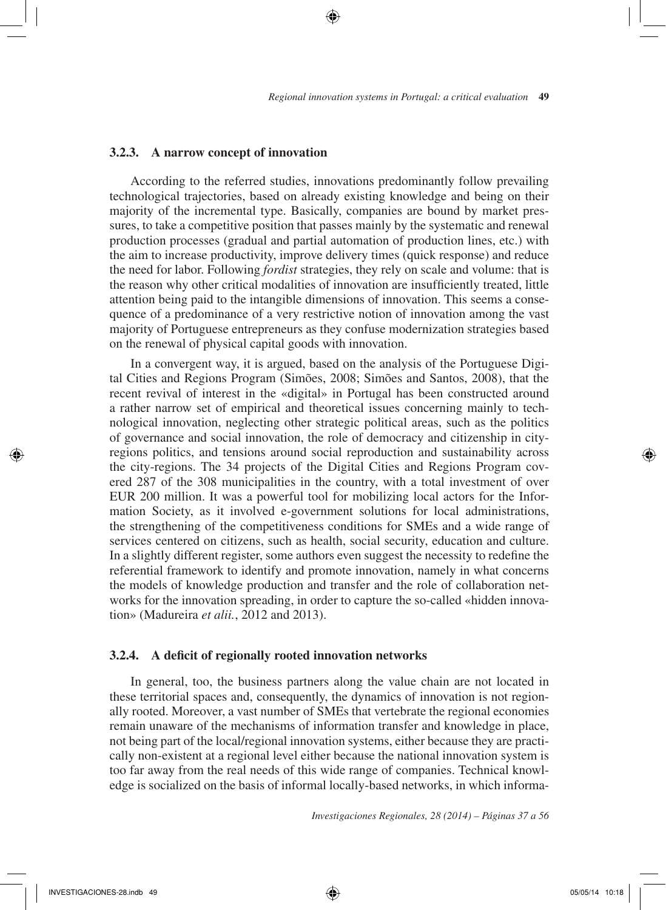## **3.2.3. A narrow concept of innovation**

According to the referred studies, innovations predominantly follow prevailing technological trajectories, based on already existing knowledge and being on their majority of the incremental type. Basically, companies are bound by market pressures, to take a competitive position that passes mainly by the systematic and renewal production processes (gradual and partial automation of production lines, etc.) with the aim to increase productivity, improve delivery times (quick response) and reduce the need for labor. Following *fordist* strategies, they rely on scale and volume: that is the reason why other critical modalities of innovation are insufficiently treated, little attention being paid to the intangible dimensions of innovation. This seems a consequence of a predominance of a very restrictive notion of innovation among the vast majority of Portuguese entrepreneurs as they confuse modernization strategies based on the renewal of physical capital goods with innovation.

⊕

In a convergent way, it is argued, based on the analysis of the Portuguese Digital Cities and Regions Program (Simões, 2008; Simões and Santos, 2008), that the recent revival of interest in the «digital» in Portugal has been constructed around a rather narrow set of empirical and theoretical issues concerning mainly to technological innovation, neglecting other strategic political areas, such as the politics of governance and social innovation, the role of democracy and citizenship in cityregions politics, and tensions around social reproduction and sustainability across the city-regions. The 34 projects of the Digital Cities and Regions Program covered 287 of the 308 municipalities in the country, with a total investment of over EUR 200 million. It was a powerful tool for mobilizing local actors for the Information Society, as it involved e-government solutions for local administrations, the strengthening of the competitiveness conditions for SMEs and a wide range of services centered on citizens, such as health, social security, education and culture. In a slightly different register, some authors even suggest the necessity to redefine the referential framework to identify and promote innovation, namely in what concerns the models of knowledge production and transfer and the role of collaboration networks for the innovation spreading, in order to capture the so-called «hidden innovation» (Madureira *et alii.*, 2012 and 2013).

## **3.2.4. A deficit of regionally rooted innovation networks**

In general, too, the business partners along the value chain are not located in these territorial spaces and, consequently, the dynamics of innovation is not regionally rooted. Moreover, a vast number of SMEs that vertebrate the regional economies remain unaware of the mechanisms of information transfer and knowledge in place, not being part of the local/regional innovation systems, either because they are practically non-existent at a regional level either because the national innovation system is too far away from the real needs of this wide range of companies. Technical knowledge is socialized on the basis of informal locally-based networks, in which informa-

*Investigaciones Regionales, 28 (2014) – Páginas 37 a 56*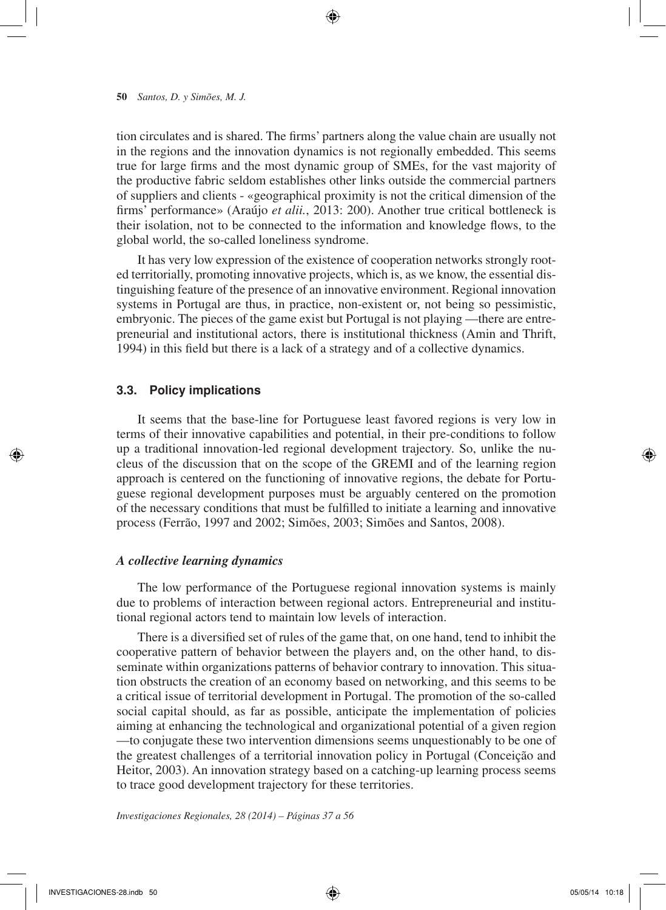tion circulates and is shared. The firms' partners along the value chain are usually not in the regions and the innovation dynamics is not regionally embedded. This seems true for large firms and the most dynamic group of SMEs, for the vast majority of the productive fabric seldom establishes other links outside the commercial partners of suppliers and clients - «geographical proximity is not the critical dimension of the firms' performance» (Araújo *et alii.*, 2013: 200). Another true critical bottleneck is their isolation, not to be connected to the information and knowledge flows, to the global world, the so-called loneliness syndrome.

 $\textcolor{red}{\textcircled{\star}}$ 

It has very low expression of the existence of cooperation networks strongly rooted territorially, promoting innovative projects, which is, as we know, the essential distinguishing feature of the presence of an innovative environment. Regional innovation systems in Portugal are thus, in practice, non-existent or, not being so pessimistic, embryonic. The pieces of the game exist but Portugal is not playing —there are entrepreneurial and institutional actors, there is institutional thickness (Amin and Thrift, 1994) in this field but there is a lack of a strategy and of a collective dynamics.

## **3.3. Policy implications**

It seems that the base-line for Portuguese least favored regions is very low in terms of their innovative capabilities and potential, in their pre-conditions to follow up a traditional innovation-led regional development trajectory. So, unlike the nucleus of the discussion that on the scope of the GREMI and of the learning region approach is centered on the functioning of innovative regions, the debate for Portuguese regional development purposes must be arguably centered on the promotion of the necessary conditions that must be fulfilled to initiate a learning and innovative process (Ferrão, 1997 and 2002; Simões, 2003; Simões and Santos, 2008).

#### *A collective learning dynamics*

The low performance of the Portuguese regional innovation systems is mainly due to problems of interaction between regional actors. Entrepreneurial and institutional regional actors tend to maintain low levels of interaction.

There is a diversified set of rules of the game that, on one hand, tend to inhibit the cooperative pattern of behavior between the players and, on the other hand, to disseminate within organizations patterns of behavior contrary to innovation. This situation obstructs the creation of an economy based on networking, and this seems to be a critical issue of territorial development in Portugal. The promotion of the so-called social capital should, as far as possible, anticipate the implementation of policies aiming at enhancing the technological and organizational potential of a given region —to conjugate these two intervention dimensions seems unquestionably to be one of the greatest challenges of a territorial innovation policy in Portugal (Conceição and Heitor, 2003). An innovation strategy based on a catching-up learning process seems to trace good development trajectory for these territories.

*Investigaciones Regionales, 28 (2014) – Páginas 37 a 56*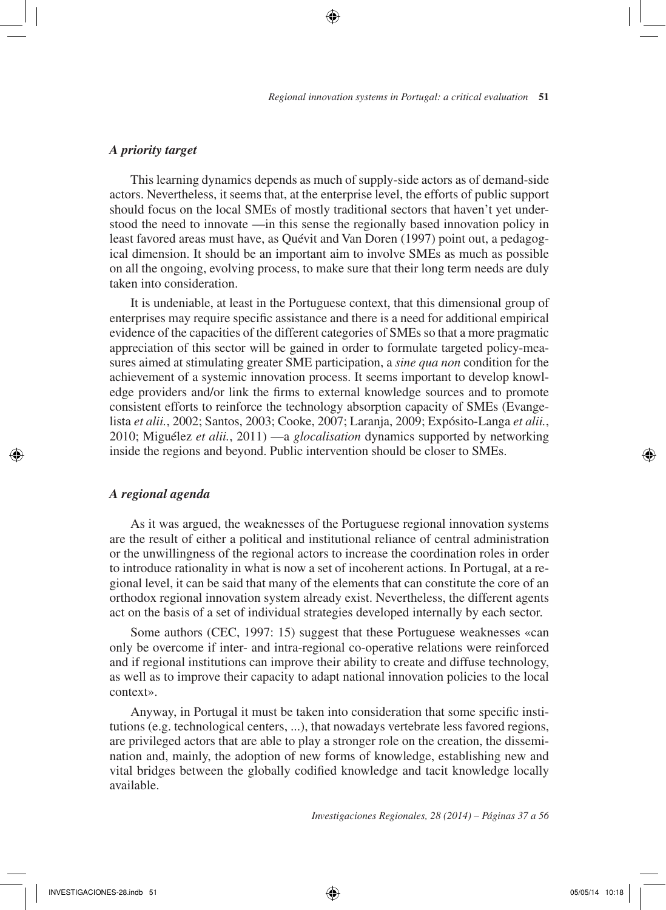## *A priority target*

This learning dynamics depends as much of supply-side actors as of demand-side actors. Nevertheless, it seems that, at the enterprise level, the efforts of public support should focus on the local SMEs of mostly traditional sectors that haven't yet understood the need to innovate —in this sense the regionally based innovation policy in least favored areas must have, as Quévit and Van Doren (1997) point out, a pedagogical dimension. It should be an important aim to involve SMEs as much as possible on all the ongoing, evolving process, to make sure that their long term needs are duly taken into consideration.

⊕

It is undeniable, at least in the Portuguese context, that this dimensional group of enterprises may require specific assistance and there is a need for additional empirical evidence of the capacities of the different categories of SMEs so that a more pragmatic appreciation of this sector will be gained in order to formulate targeted policy-measures aimed at stimulating greater SME participation, a *sine qua non* condition for the achievement of a systemic innovation process. It seems important to develop knowledge providers and/or link the firms to external knowledge sources and to promote consistent efforts to reinforce the technology absorption capacity of SMEs (Evangelista *et alii.*, 2002; Santos, 2003; Cooke, 2007; Laranja, 2009; Expósito-Langa *et alii.*, 2010; Miguélez *et alii.*, 2011) —a *glocalisation* dynamics supported by networking inside the regions and beyond. Public intervention should be closer to SMEs.

## *A regional agenda*

⊕

As it was argued, the weaknesses of the Portuguese regional innovation systems are the result of either a political and institutional reliance of central administration or the unwillingness of the regional actors to increase the coordination roles in order to introduce rationality in what is now a set of incoherent actions. In Portugal, at a regional level, it can be said that many of the elements that can constitute the core of an orthodox regional innovation system already exist. Nevertheless, the different agents act on the basis of a set of individual strategies developed internally by each sector.

Some authors (CEC, 1997: 15) suggest that these Portuguese weaknesses «can only be overcome if inter- and intra-regional co-operative relations were reinforced and if regional institutions can improve their ability to create and diffuse technology, as well as to improve their capacity to adapt national innovation policies to the local context».

Anyway, in Portugal it must be taken into consideration that some specific institutions (e.g. technological centers, ...), that nowadays vertebrate less favored regions, are privileged actors that are able to play a stronger role on the creation, the dissemination and, mainly, the adoption of new forms of knowledge, establishing new and vital bridges between the globally codified knowledge and tacit knowledge locally available.

*Investigaciones Regionales, 28 (2014) – Páginas 37 a 56*

↔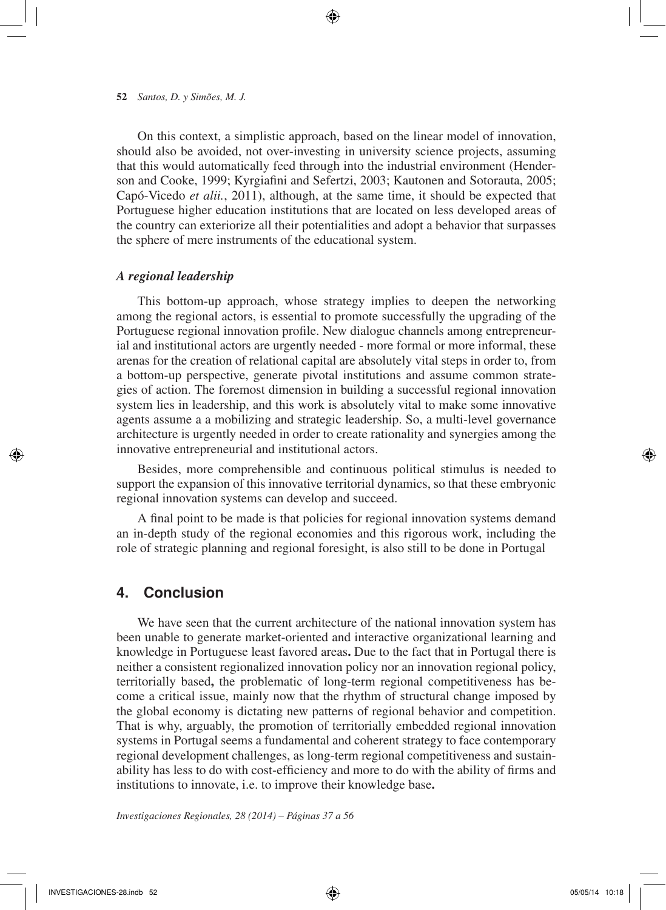On this context, a simplistic approach, based on the linear model of innovation, should also be avoided, not over-investing in university science projects, assuming that this would automatically feed through into the industrial environment (Henderson and Cooke, 1999; Kyrgiafini and Sefertzi, 2003; Kautonen and Sotorauta, 2005; Capó-Vicedo *et alii.*, 2011), although, at the same time, it should be expected that Portuguese higher education institutions that are located on less developed areas of the country can exteriorize all their potentialities and adopt a behavior that surpasses the sphere of mere instruments of the educational system.

↔

## *A regional leadership*

This bottom-up approach, whose strategy implies to deepen the networking among the regional actors, is essential to promote successfully the upgrading of the Portuguese regional innovation profile. New dialogue channels among entrepreneurial and institutional actors are urgently needed - more formal or more informal, these arenas for the creation of relational capital are absolutely vital steps in order to, from a bottom-up perspective, generate pivotal institutions and assume common strategies of action. The foremost dimension in building a successful regional innovation system lies in leadership, and this work is absolutely vital to make some innovative agents assume a a mobilizing and strategic leadership. So, a multi-level governance architecture is urgently needed in order to create rationality and synergies among the innovative entrepreneurial and institutional actors.

Besides, more comprehensible and continuous political stimulus is needed to support the expansion of this innovative territorial dynamics, so that these embryonic regional innovation systems can develop and succeed.

A final point to be made is that policies for regional innovation systems demand an in-depth study of the regional economies and this rigorous work, including the role of strategic planning and regional foresight, is also still to be done in Portugal

## **4. Conclusion**

We have seen that the current architecture of the national innovation system has been unable to generate market-oriented and interactive organizational learning and knowledge in Portuguese least favored areas**.** Due to the fact that in Portugal there is neither a consistent regionalized innovation policy nor an innovation regional policy, territorially based**,** the problematic of long-term regional competitiveness has become a critical issue, mainly now that the rhythm of structural change imposed by the global economy is dictating new patterns of regional behavior and competition. That is why, arguably, the promotion of territorially embedded regional innovation systems in Portugal seems a fundamental and coherent strategy to face contemporary regional development challenges, as long-term regional competitiveness and sustainability has less to do with cost-efficiency and more to do with the ability of firms and institutions to innovate, i.e. to improve their knowledge base**.**

*Investigaciones Regionales, 28 (2014) – Páginas 37 a 56*

⊕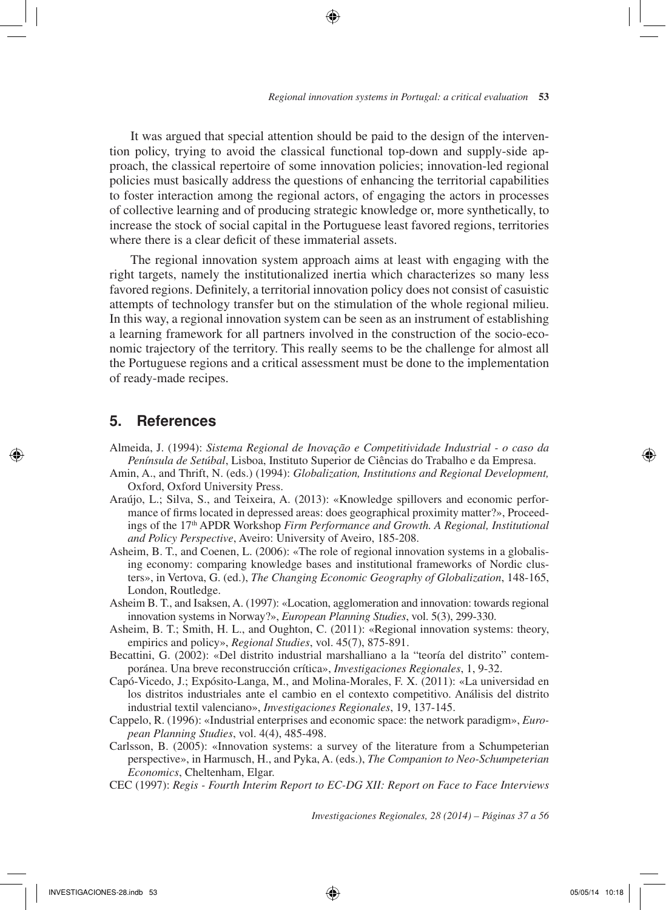It was argued that special attention should be paid to the design of the intervention policy, trying to avoid the classical functional top-down and supply-side approach, the classical repertoire of some innovation policies; innovation-led regional policies must basically address the questions of enhancing the territorial capabilities to foster interaction among the regional actors, of engaging the actors in processes of collective learning and of producing strategic knowledge or, more synthetically, to increase the stock of social capital in the Portuguese least favored regions, territories where there is a clear deficit of these immaterial assets.

The regional innovation system approach aims at least with engaging with the right targets, namely the institutionalized inertia which characterizes so many less favored regions. Definitely, a territorial innovation policy does not consist of casuistic attempts of technology transfer but on the stimulation of the whole regional milieu. In this way, a regional innovation system can be seen as an instrument of establishing a learning framework for all partners involved in the construction of the socio-economic trajectory of the territory. This really seems to be the challenge for almost all the Portuguese regions and a critical assessment must be done to the implementation of ready-made recipes.

## **5. References**

- Almeida, J. (1994): *Sistema Regional de Inovação e Competitividade Industrial o caso da Península de Setúbal*, Lisboa, Instituto Superior de Ciências do Trabalho e da Empresa.
- Amin, A., and Thrift, N. (eds.) (1994): *Globalization, Institutions and Regional Development,*  Oxford, Oxford University Press.
- Araújo, L.; Silva, S., and Teixeira, A. (2013): «Knowledge spillovers and economic performance of firms located in depressed areas: does geographical proximity matter?», Proceedings of the 17th APDR Workshop *Firm Performance and Growth. A Regional, Institutional and Policy Perspective*, Aveiro: University of Aveiro, 185-208.
- Asheim, B. T., and Coenen, L. (2006): «The role of regional innovation systems in a globalising economy: comparing knowledge bases and institutional frameworks of Nordic clusters», in Vertova, G. (ed.), *The Changing Economic Geography of Globalization*, 148-165, London, Routledge.
- Asheim B. T., and Isaksen, A. (1997): «Location, agglomeration and innovation: towards regional innovation systems in Norway?», *European Planning Studies*, vol. 5(3), 299-330.
- Asheim, B. T.; Smith, H. L., and Oughton, C. (2011): «Regional innovation systems: theory, empirics and policy», *Regional Studies*, vol. 45(7), 875-891.
- Becattini, G. (2002): «Del distrito industrial marshalliano a la "teoría del distrito" contemporánea. Una breve reconstrucción crítica», *Investigaciones Regionales*, 1, 9-32.
- Capó-Vicedo, J.; Expósito-Langa, M., and Molina-Morales, F. X. (2011): «La universidad en los distritos industriales ante el cambio en el contexto competitivo. Análisis del distrito industrial textil valenciano», *Investigaciones Regionales*, 19, 137-145.
- Cappelo, R. (1996): «Industrial enterprises and economic space: the network paradigm», *European Planning Studies*, vol. 4(4), 485-498.
- Carlsson, B. (2005): «Innovation systems: a survey of the literature from a Schumpeterian perspective», in Harmusch, H., and Pyka, A. (eds.), *The Companion to Neo-Schumpeterian Economics*, Cheltenham, Elgar.
- CEC (1997): *Regis Fourth Interim Report to EC-DG XII: Report on Face to Face Interviews*

*Investigaciones Regionales, 28 (2014) – Páginas 37 a 56*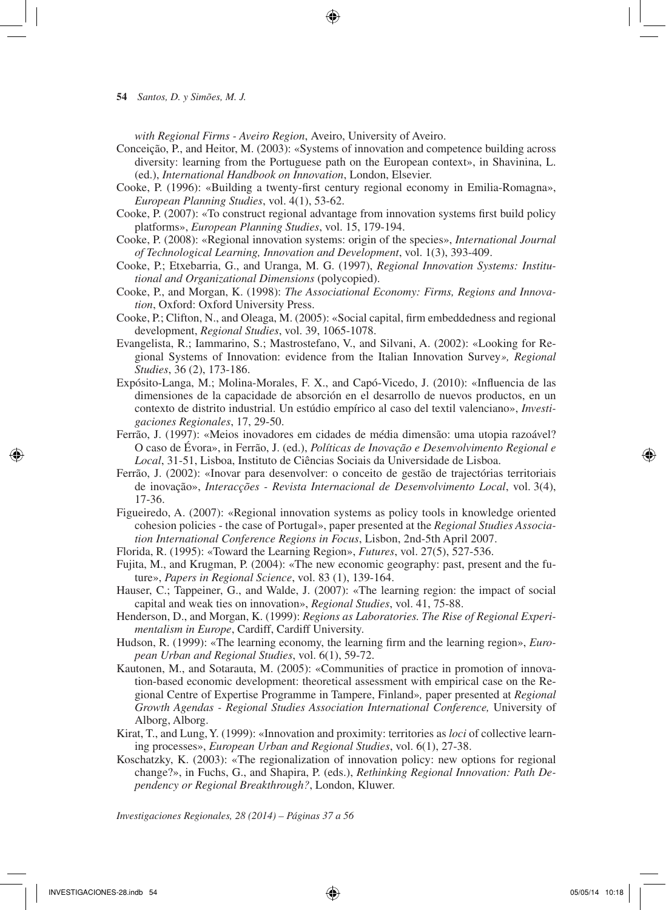*with Regional Firms - Aveiro Region*, Aveiro, University of Aveiro.

- Conceição, P., and Heitor, M. (2003): «Systems of innovation and competence building across diversity: learning from the Portuguese path on the European context», in Shavinina, L. (ed.), *International Handbook on Innovation*, London, Elsevier.
- Cooke, P. (1996): «Building a twenty-first century regional economy in Emilia-Romagna», *European Planning Studies*, vol. 4(1), 53-62.
- Cooke, P. (2007): «To construct regional advantage from innovation systems first build policy platforms», *European Planning Studies*, vol. 15, 179-194.
- Cooke, P. (2008): «Regional innovation systems: origin of the species», *International Journal of Technological Learning, Innovation and Development*, vol. 1(3), 393-409.
- Cooke, P.; Etxebarria, G., and Uranga, M. G. (1997), *Regional Innovation Systems: Institutional and Organizational Dimensions* (polycopied).
- Cooke, P., and Morgan, K. (1998): *The Associational Economy: Firms, Regions and Innovation*, Oxford: Oxford University Press.
- Cooke, P.; Clifton, N., and Oleaga, M. (2005): «Social capital, firm embeddedness and regional development, *Regional Studies*, vol. 39, 1065-1078.
- Evangelista, R.; Iammarino, S.; Mastrostefano, V., and Silvani, A. (2002): «Looking for Regional Systems of Innovation: evidence from the Italian Innovation Survey*», Regional Studies*, 36 (2), 173-186.
- Expósito-Langa, M.; Molina-Morales, F. X., and Capó-Vicedo, J. (2010): «Influencia de las dimensiones de la capacidade de absorción en el desarrollo de nuevos productos, en un contexto de distrito industrial. Un estúdio empírico al caso del textil valenciano», *Investigaciones Regionales*, 17, 29-50.
- Ferrão, J. (1997): «Meios inovadores em cidades de média dimensão: uma utopia razoável? O caso de Évora», in Ferrão, J. (ed.), *Políticas de Inovação e Desenvolvimento Regional e Local*, 31-51, Lisboa, Instituto de Ciências Sociais da Universidade de Lisboa.
- Ferrão, J. (2002): «Inovar para desenvolver: o conceito de gestão de trajectórias territoriais de inovação», *Interacções - Revista Internacional de Desenvolvimento Local*, vol. 3(4), 17-36.
- Figueiredo, A. (2007): «Regional innovation systems as policy tools in knowledge oriented cohesion policies - the case of Portugal», paper presented at the *Regional Studies Association International Conference Regions in Focus*, Lisbon, 2nd-5th April 2007.

Florida, R. (1995): «Toward the Learning Region», *Futures*, vol. 27(5), 527-536.

- Fujita, M., and Krugman, P. (2004): «The new economic geography: past, present and the future», *Papers in Regional Science*, vol. 83 (1), 139-164.
- Hauser, C.; Tappeiner, G., and Walde, J. (2007): «The learning region: the impact of social capital and weak ties on innovation», *Regional Studies*, vol. 41, 75-88.
- Henderson, D., and Morgan, K. (1999): *Regions as Laboratories. The Rise of Regional Experimentalism in Europe*, Cardiff, Cardiff University.
- Hudson, R. (1999): «The learning economy, the learning firm and the learning region», *European Urban and Regional Studies*, vol. 6(1), 59-72.
- Kautonen, M., and Sotarauta, M. (2005): «Communities of practice in promotion of innovation-based economic development: theoretical assessment with empirical case on the Regional Centre of Expertise Programme in Tampere, Finland»*,* paper presented at *Regional Growth Agendas - Regional Studies Association International Conference,* University of Alborg, Alborg.
- Kirat, T., and Lung, Y. (1999): «Innovation and proximity: territories as *loci* of collective learning processes», *European Urban and Regional Studies*, vol. 6(1), 27-38.
- Koschatzky, K. (2003): «The regionalization of innovation policy: new options for regional change?», in Fuchs, G., and Shapira, P. (eds.), *Rethinking Regional Innovation: Path Dependency or Regional Breakthrough?*, London, Kluwer.

*Investigaciones Regionales, 28 (2014) – Páginas 37 a 56*

INVESTIGACIONES-28.indb 54 05/05/14 10:18

**<sup>54</sup>** *Santos, D. y Simões, M. J.*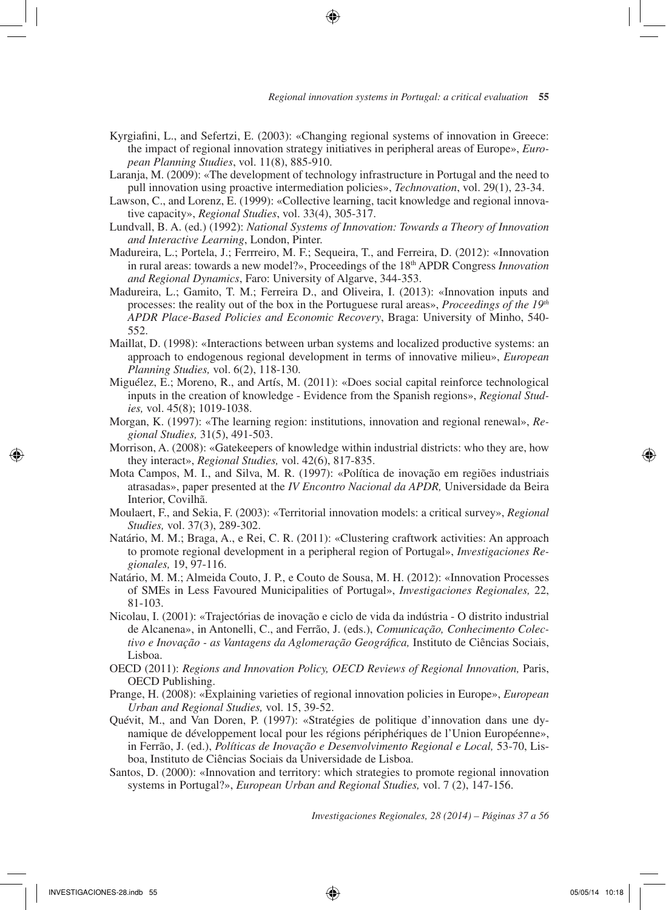- Kyrgiafini, L., and Sefertzi, E. (2003): «Changing regional systems of innovation in Greece: the impact of regional innovation strategy initiatives in peripheral areas of Europe», *European Planning Studies*, vol. 11(8), 885-910.
- Laranja, M. (2009): «The development of technology infrastructure in Portugal and the need to pull innovation using proactive intermediation policies», *Technovation*, vol. 29(1), 23-34.
- Lawson, C., and Lorenz, E. (1999): «Collective learning, tacit knowledge and regional innovative capacity», *Regional Studies*, vol. 33(4), 305-317.
- Lundvall, B. A. (ed.) (1992): *National Systems of Innovation: Towards a Theory of Innovation and Interactive Learning*, London, Pinter.
- Madureira, L.; Portela, J.; Ferrreiro, M. F.; Sequeira, T., and Ferreira, D. (2012): «Innovation in rural areas: towards a new model?», Proceedings of the 18<sup>th</sup> APDR Congress *Innovation and Regional Dynamics*, Faro: University of Algarve, 344-353.
- Madureira, L.; Gamito, T. M.; Ferreira D., and Oliveira, I. (2013): «Innovation inputs and processes: the reality out of the box in the Portuguese rural areas», *Proceedings of the 19th APDR Place-Based Policies and Economic Recovery*, Braga: University of Minho, 540- 552.
- Maillat, D. (1998): «Interactions between urban systems and localized productive systems: an approach to endogenous regional development in terms of innovative milieu», *European Planning Studies,* vol. 6(2), 118-130.
- Miguélez, E.; Moreno, R., and Artís, M. (2011): «Does social capital reinforce technological inputs in the creation of knowledge - Evidence from the Spanish regions», *Regional Studies,* vol. 45(8); 1019-1038.
- Morgan, K. (1997): «The learning region: institutions, innovation and regional renewal», *Regional Studies,* 31(5), 491-503.
- Morrison, A. (2008): «Gatekeepers of knowledge within industrial districts: who they are, how they interact», *Regional Studies,* vol. 42(6), 817-835.
- Mota Campos, M. I., and Silva, M. R. (1997): «Política de inovação em regiões industriais atrasadas», paper presented at the *IV Encontro Nacional da APDR,* Universidade da Beira Interior, Covilhã.
- Moulaert, F., and Sekia, F. (2003): «Territorial innovation models: a critical survey», *Regional Studies,* vol. 37(3), 289-302.
- Natário, M. M.; Braga, A., e Rei, C. R. (2011): «Clustering craftwork activities: An approach to promote regional development in a peripheral region of Portugal», *Investigaciones Regionales,* 19, 97-116.
- Natário, M. M.; Almeida Couto, J. P., e Couto de Sousa, M. H. (2012): «Innovation Processes of SMEs in Less Favoured Municipalities of Portugal», *Investigaciones Regionales,* 22, 81-103.
- Nicolau, I. (2001): «Trajectórias de inovação e ciclo de vida da indústria O distrito industrial de Alcanena», in Antonelli, C., and Ferrão, J. (eds.), *Comunicação, Conhecimento Colectivo e Inovação - as Vantagens da Aglomeração Geográfica,* Instituto de Ciências Sociais, Lisboa.
- OECD (2011): *Regions and Innovation Policy, OECD Reviews of Regional Innovation, Paris,* OECD Publishing.
- Prange, H. (2008): «Explaining varieties of regional innovation policies in Europe», *European Urban and Regional Studies,* vol. 15, 39-52.
- Quévit, M., and Van Doren, P. (1997): «Stratégies de politique d'innovation dans une dynamique de développement local pour les régions périphériques de l'Union Européenne», in Ferrão, J. (ed.), *Políticas de Inovação e Desenvolvimento Regional e Local,* 53-70, Lisboa, Instituto de Ciências Sociais da Universidade de Lisboa.
- Santos, D. (2000): «Innovation and territory: which strategies to promote regional innovation systems in Portugal?», *European Urban and Regional Studies,* vol. 7 (2), 147-156.

*Investigaciones Regionales, 28 (2014) – Páginas 37 a 56*